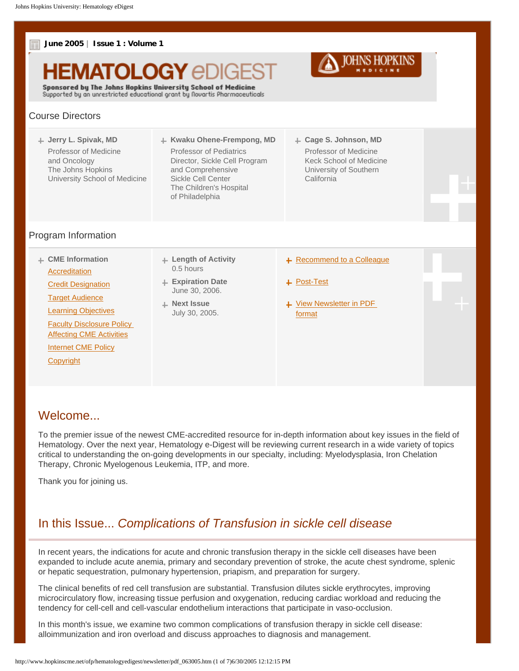

## Welcome...

To the premier issue of the newest CME-accredited resource for in-depth information about key issues in the field of Hematology. Over the next year, Hematology e-Digest will be reviewing current research in a wide variety of topics critical to understanding the on-going developments in our specialty, including: Myelodysplasia, Iron Chelation Therapy, Chronic Myelogenous Leukemia, ITP, and more.

Thank you for joining us.

# In this Issue... *Complications of Transfusion in sickle cell disease*

In recent years, the indications for acute and chronic transfusion therapy in the sickle cell diseases have been expanded to include acute anemia, primary and secondary prevention of stroke, the acute chest syndrome, splenic or hepatic sequestration, pulmonary hypertension, priapism, and preparation for surgery.

The clinical benefits of red cell transfusion are substantial. Transfusion dilutes sickle erythrocytes, improving microcirculatory flow, increasing tissue perfusion and oxygenation, reducing cardiac workload and reducing the tendency for cell-cell and cell-vascular endothelium interactions that participate in vaso-occlusion.

In this month's issue, we examine two common complications of transfusion therapy in sickle cell disease: alloimmunization and iron overload and discuss approaches to diagnosis and management.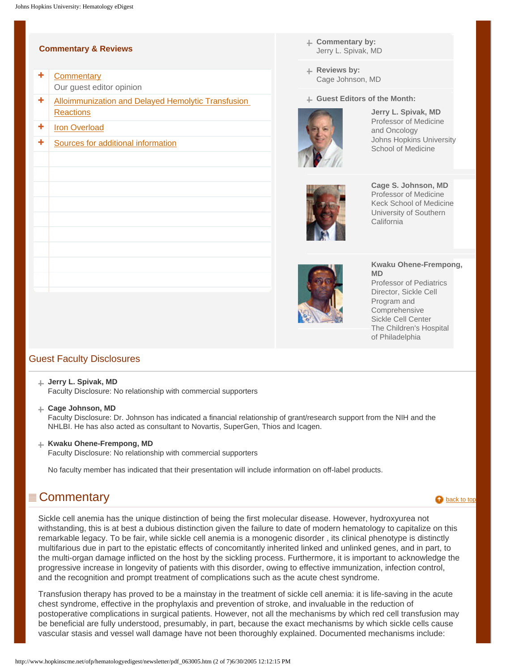#### <span id="page-1-1"></span>**Commentary & Reviews**

- ٠ **[Commentary](#page-1-0)** Our guest editor opinion
- ٠ [Alloimmunization and Delayed Hemolytic Transfusion](#page-2-0)  **[Reactions](#page-2-0)**
- ٠ [Iron Overload](#page-3-0)
- ٠ [Sources for additional information](#page-4-0)
- **Commentary by:** Jerry L. Spivak, MD
- Reviews by: Cage Johnson, MD

**Guest Editors of the Month:**



**Jerry L. Spivak, MD** Professor of Medicine and Oncology Johns Hopkins University School of Medicine



**Cage S. Johnson, MD** Professor of Medicine Keck School of Medicine University of Southern **California** 



#### **Kwaku Ohene-Frempong, MD**

Professor of Pediatrics Director, Sickle Cell Program and Comprehensive Sickle Cell Center The Children's Hospital of Philadelphia

## Guest Faculty Disclosures

#### **Jerry L. Spivak, MD**

Faculty Disclosure: No relationship with commercial supporters

**Cage Johnson, MD**

Faculty Disclosure: Dr. Johnson has indicated a financial relationship of grant/research support from the NIH and the NHLBI. He has also acted as consultant to Novartis, SuperGen, Thios and Icagen.

**Kwaku Ohene-Frempong, MD**

Faculty Disclosure: No relationship with commercial supporters

No faculty member has indicated that their presentation will include information on off-label products.

## <span id="page-1-0"></span> $\equiv$  Commentary [back to top](#page-1-1)  $\triangle$  back to top  $\triangle$

Sickle cell anemia has the unique distinction of being the first molecular disease. However, hydroxyurea not withstanding, this is at best a dubious distinction given the failure to date of modern hematology to capitalize on this remarkable legacy. To be fair, while sickle cell anemia is a monogenic disorder , its clinical phenotype is distinctly multifarious due in part to the epistatic effects of concomitantly inherited linked and unlinked genes, and in part, to the multi-organ damage inflicted on the host by the sickling process. Furthermore, it is important to acknowledge the progressive increase in longevity of patients with this disorder, owing to effective immunization, infection control, and the recognition and prompt treatment of complications such as the acute chest syndrome.

Transfusion therapy has proved to be a mainstay in the treatment of sickle cell anemia: it is life-saving in the acute chest syndrome, effective in the prophylaxis and prevention of stroke, and invaluable in the reduction of postoperative complications in surgical patients. However, not all the mechanisms by which red cell transfusion may be beneficial are fully understood, presumably, in part, because the exact mechanisms by which sickle cells cause vascular stasis and vessel wall damage have not been thoroughly explained. Documented mechanisms include: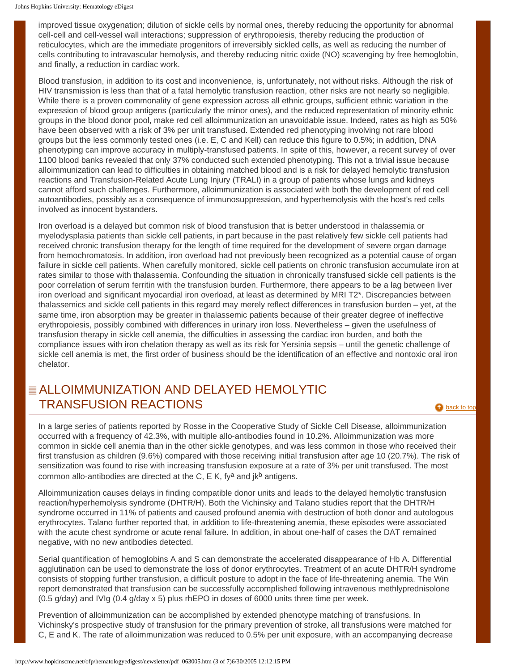improved tissue oxygenation; dilution of sickle cells by normal ones, thereby reducing the opportunity for abnormal cell-cell and cell-vessel wall interactions; suppression of erythropoiesis, thereby reducing the production of reticulocytes, which are the immediate progenitors of irreversibly sickled cells, as well as reducing the number of cells contributing to intravascular hemolysis, and thereby reducing nitric oxide (NO) scavenging by free hemoglobin, and finally, a reduction in cardiac work.

Blood transfusion, in addition to its cost and inconvenience, is, unfortunately, not without risks. Although the risk of HIV transmission is less than that of a fatal hemolytic transfusion reaction, other risks are not nearly so negligible. While there is a proven commonality of gene expression across all ethnic groups, sufficient ethnic variation in the expression of blood group antigens (particularly the minor ones), and the reduced representation of minority ethnic groups in the blood donor pool, make red cell alloimmunization an unavoidable issue. Indeed, rates as high as 50% have been observed with a risk of 3% per unit transfused. Extended red phenotyping involving not rare blood groups but the less commonly tested ones (i.e. E, C and Kell) can reduce this figure to 0.5%; in addition, DNA phenotyping can improve accuracy in multiply-transfused patients. In spite of this, however, a recent survey of over 1100 blood banks revealed that only 37% conducted such extended phenotyping. This not a trivial issue because alloimmunization can lead to difficulties in obtaining matched blood and is a risk for delayed hemolytic transfusion reactions and Transfusion-Related Acute Lung Injury (TRALI) in a group of patients whose lungs and kidneys cannot afford such challenges. Furthermore, alloimmunization is associated with both the development of red cell autoantibodies, possibly as a consequence of immunosuppression, and hyperhemolysis with the host's red cells involved as innocent bystanders.

Iron overload is a delayed but common risk of blood transfusion that is better understood in thalassemia or myelodysplasia patients than sickle cell patients, in part because in the past relatively few sickle cell patients had received chronic transfusion therapy for the length of time required for the development of severe organ damage from hemochromatosis. In addition, iron overload had not previously been recognized as a potential cause of organ failure in sickle cell patients. When carefully monitored, sickle cell patients on chronic transfusion accumulate iron at rates similar to those with thalassemia. Confounding the situation in chronically transfused sickle cell patients is the poor correlation of serum ferritin with the transfusion burden. Furthermore, there appears to be a lag between liver iron overload and significant myocardial iron overload, at least as determined by MRI T2\*. Discrepancies between thalassemics and sickle cell patients in this regard may merely reflect differences in transfusion burden – yet, at the same time, iron absorption may be greater in thalassemic patients because of their greater degree of ineffective erythropoiesis, possibly combined with differences in urinary iron loss. Nevertheless – given the usefulness of transfusion therapy in sickle cell anemia, the difficulties in assessing the cardiac iron burden, and both the compliance issues with iron chelation therapy as well as its risk for Yersinia sepsis – until the genetic challenge of sickle cell anemia is met, the first order of business should be the identification of an effective and nontoxic oral iron chelator.

# <span id="page-2-0"></span>ALLOIMMUNIZATION AND DELAYED HEMOLYTIC TRANSFUSION REACTIONS and the contract of the contract of the contract of the contract of the [back to top](#page-1-1)

In a large series of patients reported by Rosse in the Cooperative Study of Sickle Cell Disease, alloimmunization occurred with a frequency of 42.3%, with multiple allo-antibodies found in 10.2%. Alloimmunization was more common in sickle cell anemia than in the other sickle genotypes, and was less common in those who received their first transfusion as children (9.6%) compared with those receiving initial transfusion after age 10 (20.7%). The risk of sensitization was found to rise with increasing transfusion exposure at a rate of 3% per unit transfused. The most common allo-antibodies are directed at the C, E K, fy<sup>a</sup> and  $ik<sup>b</sup>$  antigens.

Alloimmunization causes delays in finding compatible donor units and leads to the delayed hemolytic transfusion reaction/hyperhemolysis syndrome (DHTR/H). Both the Vichinsky and Talano studies report that the DHTR/H syndrome occurred in 11% of patients and caused profound anemia with destruction of both donor and autologous erythrocytes. Talano further reported that, in addition to life-threatening anemia, these episodes were associated with the acute chest syndrome or acute renal failure. In addition, in about one-half of cases the DAT remained negative, with no new antibodies detected.

Serial quantification of hemoglobins A and S can demonstrate the accelerated disappearance of Hb A. Differential agglutination can be used to demonstrate the loss of donor erythrocytes. Treatment of an acute DHTR/H syndrome consists of stopping further transfusion, a difficult posture to adopt in the face of life-threatening anemia. The Win report demonstrated that transfusion can be successfully accomplished following intravenous methlyprednisolone (0.5 g/day) and IVIg (0.4 g/day x 5) plus rhEPO in doses of 6000 units three time per week.

Prevention of alloimmunization can be accomplished by extended phenotype matching of transfusions. In Vichinsky's prospective study of transfusion for the primary prevention of stroke, all transfusions were matched for C, E and K. The rate of alloimmunization was reduced to 0.5% per unit exposure, with an accompanying decrease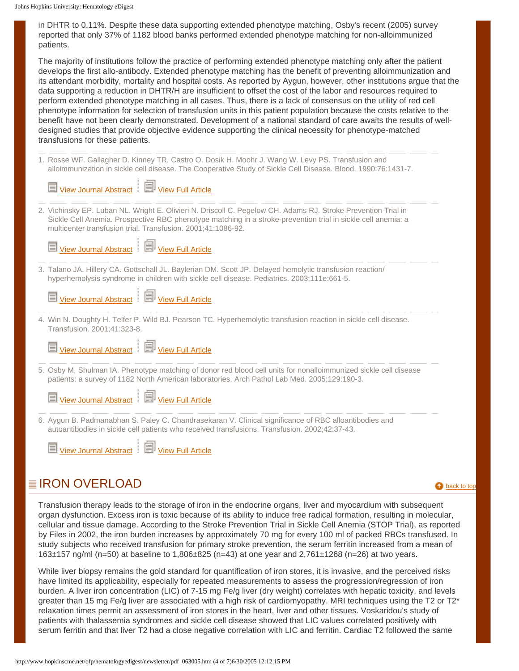| in DHTR to 0.11%. Despite these data supporting extended phenotype matching, Osby's recent (2005) survey |
|----------------------------------------------------------------------------------------------------------|
| reported that only 37% of 1182 blood banks performed extended phenotype matching for non-alloimmunized   |
| patients.                                                                                                |

The majority of institutions follow the practice of performing extended phenotype matching only after the patient develops the first allo-antibody. Extended phenotype matching has the benefit of preventing alloimmunization and its attendant morbidity, mortality and hospital costs. As reported by Aygun, however, other institutions argue that the data supporting a reduction in DHTR/H are insufficient to offset the cost of the labor and resources required to perform extended phenotype matching in all cases. Thus, there is a lack of consensus on the utility of red cell phenotype information for selection of transfusion units in this patient population because the costs relative to the benefit have not been clearly demonstrated. Development of a national standard of care awaits the results of welldesigned studies that provide objective evidence supporting the clinical necessity for phenotype-matched transfusions for these patients.

1. Rosse WF. Gallagher D. Kinney TR. Castro O. Dosik H. Moohr J. Wang W. Levy PS. Transfusion and alloimmunization in sickle cell disease. The Cooperative Study of Sickle Cell Disease. Blood. 1990;76:1431-7.

| View Journal Abstract   View Full Article                                                                                                                                                                                                                                                     |
|-----------------------------------------------------------------------------------------------------------------------------------------------------------------------------------------------------------------------------------------------------------------------------------------------|
| 2. Vichinsky EP. Luban NL. Wright E. Olivieri N. Driscoll C. Pegelow CH. Adams RJ. Stroke Prevention Trial in<br>Sickle Cell Anemia. Prospective RBC phenotype matching in a stroke-prevention trial in sickle cell anemia: a<br>multicenter transfusion trial. Transfusion. 2001;41:1086-92. |
| View Journal Abstract   3 View Full Article                                                                                                                                                                                                                                                   |
| 3. Talano JA. Hillery CA. Gottschall JL. Baylerian DM. Scott JP. Delayed hemolytic transfusion reaction/<br>hyperhemolysis syndrome in children with sickle cell disease. Pediatrics. 2003;111e:661-5.                                                                                        |
| View Journal Abstract   View Full Article                                                                                                                                                                                                                                                     |
| 4. Win N. Doughty H. Telfer P. Wild BJ. Pearson TC. Hyperhemolytic transfusion reaction in sickle cell disease.<br>Transfusion. 2001;41:323-8.                                                                                                                                                |
| View Journal Abstract $\left\  \begin{array}{c} \boxed{2} \\ \boxed{3} \end{array} \right\ $ View Full Article                                                                                                                                                                                |
| 5. Osby M, Shulman IA. Phenotype matching of donor red blood cell units for nonalloimmunized sickle cell disease<br>patients: a survey of 1182 North American laboratories. Arch Pathol Lab Med. 2005;129:190-3.                                                                              |
| View Journal Abstract   View Full Article                                                                                                                                                                                                                                                     |
| 6. Aygun B. Padmanabhan S. Paley C. Chandrasekaran V. Clinical significance of RBC alloantibodies and<br>autoantibodies in sickle cell patients who received transfusions. Transfusion. 2002;42:37-43.                                                                                        |
| View Journal Abstract   3 View Full Article                                                                                                                                                                                                                                                   |

# <span id="page-3-0"></span> $\equiv$  IRON OVERLOAD [back to top](#page-1-1) back to top  $\bullet$  back to top back to top  $\bullet$

Transfusion therapy leads to the storage of iron in the endocrine organs, liver and myocardium with subsequent organ dysfunction. Excess iron is toxic because of its ability to induce free radical formation, resulting in molecular, cellular and tissue damage. According to the Stroke Prevention Trial in Sickle Cell Anemia (STOP Trial), as reported by Files in 2002, the iron burden increases by approximately 70 mg for every 100 ml of packed RBCs transfused. In study subjects who received transfusion for primary stroke prevention, the serum ferritin increased from a mean of 163±157 ng/ml (n=50) at baseline to 1,806±825 (n=43) at one year and 2,761±1268 (n=26) at two years.

While liver biopsy remains the gold standard for quantification of iron stores, it is invasive, and the perceived risks have limited its applicability, especially for repeated measurements to assess the progression/regression of iron burden. A liver iron concentration (LIC) of 7-15 mg Fe/g liver (dry weight) correlates with hepatic toxicity, and levels greater than 15 mg Fe/g liver are associated with a high risk of cardiomyopathy. MRI techniques using the T2 or T2\* relaxation times permit an assessment of iron stores in the heart, liver and other tissues. Voskaridou's study of patients with thalassemia syndromes and sickle cell disease showed that LIC values correlated positively with serum ferritin and that liver T2 had a close negative correlation with LIC and ferritin. Cardiac T2 followed the same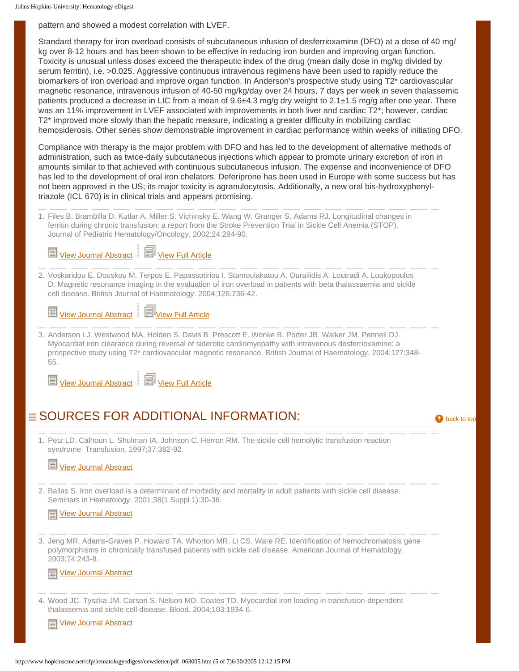pattern and showed a modest correlation with LVEF.

Standard therapy for iron overload consists of subcutaneous infusion of desferrioxamine (DFO) at a dose of 40 mg/ kg over 8-12 hours and has been shown to be effective in reducing iron burden and improving organ function. Toxicity is unusual unless doses exceed the therapeutic index of the drug (mean daily dose in mg/kg divided by serum ferritin), i.e. >0.025. Aggressive continuous intravenous regimens have been used to rapidly reduce the biomarkers of iron overload and improve organ function. In Anderson's prospective study using T2\* cardiovascular magnetic resonance, intravenous infusion of 40-50 mg/kg/day over 24 hours, 7 days per week in seven thalassemic patients produced a decrease in LIC from a mean of 9.6±4.3 mg/g dry weight to 2.1±1.5 mg/g after one year. There was an 11% improvement in LVEF associated with improvements in both liver and cardiac T2\*; however, cardiac T2\* improved more slowly than the hepatic measure, indicating a greater difficulty in mobilizing cardiac hemosiderosis. Other series show demonstrable improvement in cardiac performance within weeks of initiating DFO.

Compliance with therapy is the major problem with DFO and has led to the development of alternative methods of administration, such as twice-daily subcutaneous injections which appear to promote urinary excretion of iron in amounts similar to that achieved with continuous subcutaneous infusion. The expense and inconvenience of DFO has led to the development of oral iron chelators. Deferiprone has been used in Europe with some success but has not been approved in the US; its major toxicity is agranulocytosis. Additionally, a new oral bis-hydroxyphenyltriazole (ICL 670) is in clinical trials and appears promising.

1. Files B. Brambilla D. Kutlar A. Miller S. Vichinsky E. Wang W. Granger S. Adams RJ. Longitudinal changes in ferritin during chronic transfusion: a report from the Stroke Prevention Trial in Sickle Cell Anemia (STOP). Journal of Pediatric Hematology/Oncology. 2002;24:284-90.

[View Journal Abstract](http://www.ncbi.nlm.nih.gov/entrez/query.fcgi?cmd=Retrieve&db=pubmed&dopt=Abstract&list_uids=11972097) | **Wiew Full Article** 

2. Voskaridou E. Douskou M. Terpos E. Papassotiriou I. Stamoulakatou A. Ourailidis A. Loutradi A. Loukopoulos D. Magnetic resonance imaging in the evaluation of iron overload in patients with beta thalassaemia and sickle cell disease. British Journal of Haematology. 2004;126:736-42.

[View Journal Abstract](http://www.ncbi.nlm.nih.gov/entrez/query.fcgi?cmd=Retrieve&db=pubmed&dopt=Abstract&list_uids=15327528) | **Wiew Full Article** 

3. Anderson LJ. Westwood MA. Holden S. Davis B. Prescott E. Wonke B. Porter JB. Walker JM. Pennell DJ. Myocardial iron clearance during reversal of siderotic cardiomyopathy with intravenous desferrioxamine: a prospective study using T2\* cardiovascular magnetic resonance. British Journal of Haematology. 2004;127:348- 55.

[View Journal Abstract](http://www.ncbi.nlm.nih.gov/entrez/query.fcgi?cmd=Retrieve&db=pubmed&dopt=Abstract&list_uids=15491298)  $\left\| \Box \right\|$  [View Full Article](http://www.blackwell-synergy.com/doi/abs/10.1111/j.1365-2141.2004.05202.x)

# <span id="page-4-0"></span> $\equiv$  SOURCES FOR ADDITIONAL INFORMATION:  $\qquad \qquad \bullet$  [back to top](#page-1-1)

1. Petz LD. Calhoun L. Shulman IA. Johnson C. Herron RM. The sickle cell hemolytic transfusion reaction syndrome. Transfusion. 1997;37:382-92.

## [View Journal Abstract](http://www.ncbi.nlm.nih.gov/entrez/query.fcgi?cmd=Retrieve&db=pubmed&dopt=Abstract&list_uids=9111275)

2. Ballas S. Iron overload is a determinant of morbidity and mortality in adult patients with sickle cell disease. Seminars in Hematology. 2001;38(1 Suppl 1):30-36.

 $\equiv$  [View Journal Abstract](http://www.ncbi.nlm.nih.gov/entrez/query.fcgi?cmd=Retrieve&db=pubmed&dopt=Abstract&list_uids=11206959)

3. Jeng MR. Adams-Graves P. Howard TA. Whorton MR. Li CS. Ware RE. Identification of hemochromatosis gene polymorphisms in chronically transfused patients with sickle cell disease. American Journal of Hematology. 2003;74:243-8.

[View Journal Abstract](http://www.ncbi.nlm.nih.gov/entrez/query.fcgi?cmd=Retrieve&db=pubmed&dopt=Abstract&list_uids=14635204)

4. Wood JC. Tyszka JM. Carson S. Nelson MD. Coates TD. Myocardial iron loading in transfusion-dependent thalassemia and sickle cell disease. Blood. 2004;103:1934-6.

[View Journal Abstract](http://www.ncbi.nlm.nih.gov/entrez/query.fcgi?cmd=Retrieve&db=pubmed&dopt=Abstract&list_uids=14630822)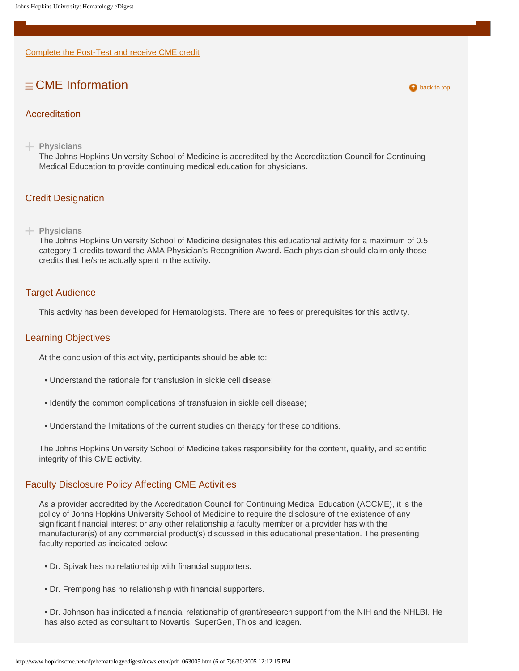[Complete the Post-Test and receive CME credit](http://www.hopkinscme.org/courses/new_course.cgi?tid=205)

# $\equiv$  CME Information  $\equiv$  CME Information

### <span id="page-5-0"></span>Accreditation

**Physicians**

The Johns Hopkins University School of Medicine is accredited by the Accreditation Council for Continuing Medical Education to provide continuing medical education for physicians.

#### <span id="page-5-1"></span>Credit Designation

#### **Physicians**

The Johns Hopkins University School of Medicine designates this educational activity for a maximum of 0.5 category 1 credits toward the AMA Physician's Recognition Award. Each physician should claim only those credits that he/she actually spent in the activity.

#### <span id="page-5-2"></span>Target Audience

This activity has been developed for Hematologists. There are no fees or prerequisites for this activity.

#### <span id="page-5-3"></span>Learning Objectives

At the conclusion of this activity, participants should be able to:

- Understand the rationale for transfusion in sickle cell disease;
- Identify the common complications of transfusion in sickle cell disease;
- Understand the limitations of the current studies on therapy for these conditions.

The Johns Hopkins University School of Medicine takes responsibility for the content, quality, and scientific integrity of this CME activity.

#### <span id="page-5-4"></span>Faculty Disclosure Policy Affecting CME Activities

As a provider accredited by the Accreditation Council for Continuing Medical Education (ACCME), it is the policy of Johns Hopkins University School of Medicine to require the disclosure of the existence of any significant financial interest or any other relationship a faculty member or a provider has with the manufacturer(s) of any commercial product(s) discussed in this educational presentation. The presenting faculty reported as indicated below:

- Dr. Spivak has no relationship with financial supporters.
- Dr. Frempong has no relationship with financial supporters.
- Dr. Johnson has indicated a financial relationship of grant/research support from the NIH and the NHLBI. He has also acted as consultant to Novartis, SuperGen, Thios and Icagen.